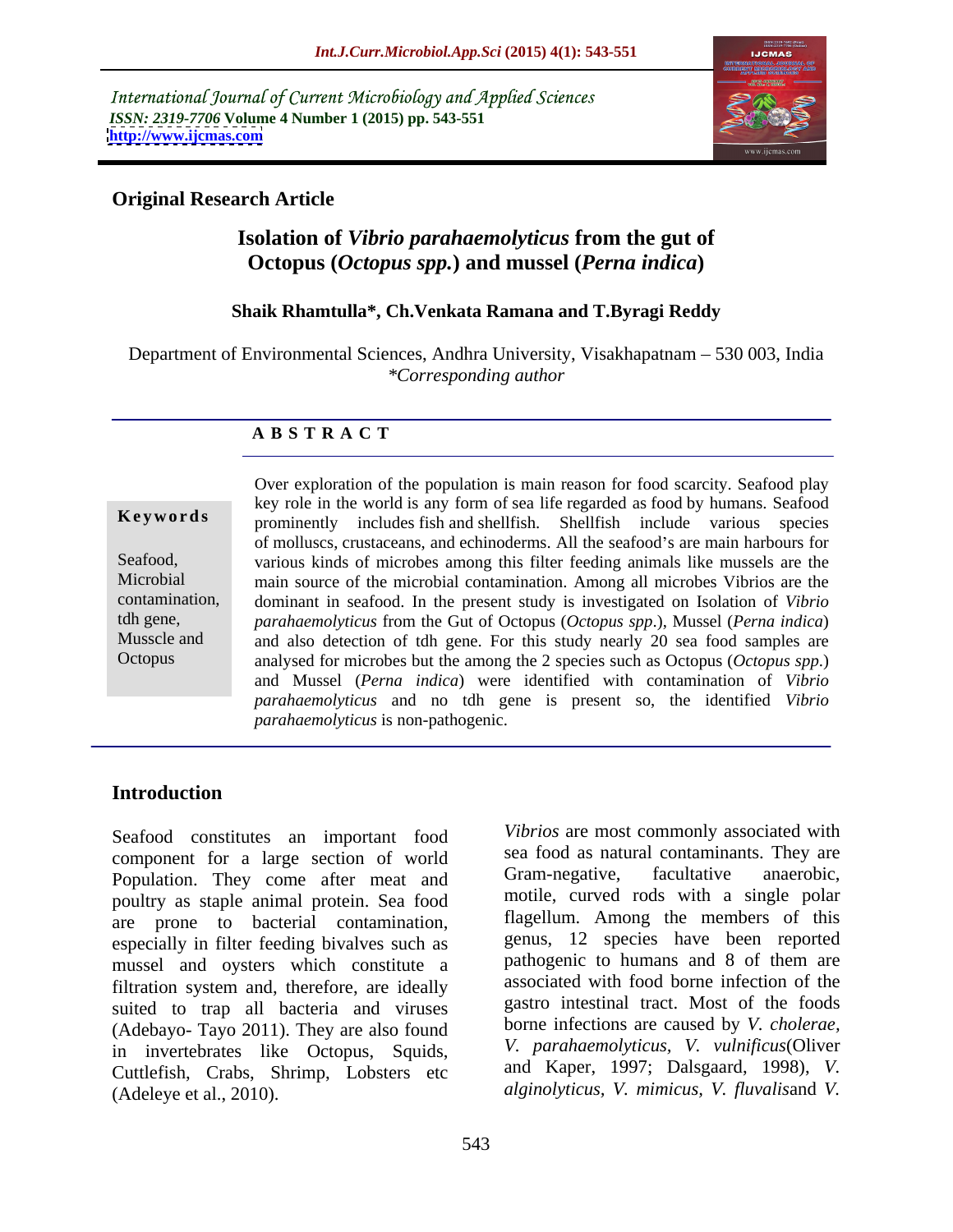International Journal of Current Microbiology and Applied Sciences *ISSN: 2319-7706* **Volume 4 Number 1 (2015) pp. 543-551 <http://www.ijcmas.com>**



### **Original Research Article**

### **Isolation of** *Vibrio parahaemolyticus* **from the gut of Octopus (***Octopus spp.***) and mussel (***Perna indica***)**

### **Shaik Rhamtulla\*, Ch.Venkata Ramana and T.Byragi Reddy**

Department of Environmental Sciences, Andhra University, Visakhapatnam – 530 003, India *\*Corresponding author*

### **A B S T R A C T**

**Octopus** 

Over exploration of the population is main reason for food scarcity. Seafood play key role in the world is any form of sea life regarded as food by humans. Seafood prominently includes fish and shellfish. Shellfish include various species **Ke ywo rds** of molluscs, crustaceans, and echinoderms. All the seafood's are main harbours for various kinds of microbes among this filter feeding animals like mussels are the Seafood, Microbial main source of the microbial contamination. Among all microbes Vibrios are the contamination, dominant in seafood. In the present study is investigated on Isolation of *Vibrio parahaemolyticus* from the Gut of Octopus (*Octopus spp*.), Mussel (*Perna indica*) tdh gene, Musscle and and also detection of tdh gene. For this study nearly 20 sea food samples are analysed for microbes but the among the 2 species such as Octopus (*Octopus spp*.) and Mussel (*Perna indica*) were identified with contamination of *Vibrio parahaemolyticus* and no tdh gene is present so, the identified *Vibrio parahaemolyticus* is non-pathogenic.

### **Introduction**

Seafood constitutes an important food component for a large section of world<br> **Example 3** Example 2 Sea tood as natural contaminants. They are<br> **Example 2** Gram-negative, facultative anaerobic, Population. They come after meat and poultry as staple animal protein. Sea food are prone to bacterial contamination, especially in filter feeding bivalves such as mussel and oysters which constitute a filtration system and, therefore, are ideally suited to trap all bacteria and viruses (Adebayo- Tayo 2011). They are also found in invertebrates like Octopus, Squids, Cuttlefish, Crabs, Shrimp, Lobsters etc (Adeleye et al., 2010). *alginolyticus, V. mimicus, V. fluvalis*and *V.* 

*Vibrios* are most commonly associated with sea food as natural contaminants. They are Gram-negative, facultative anaerobic, motile, curved rods with a single polar flagellum. Among the members of this genus, 12 species have been reported pathogenic to humans and 8 of them are associated with food borne infection of the gastro intestinal tract. Most of the foods borne infections are caused by *V. cholerae, V. parahaemolyticus, V. vulnificus*(Oliver and Kaper, 1997; Dalsgaard, 1998), *V.*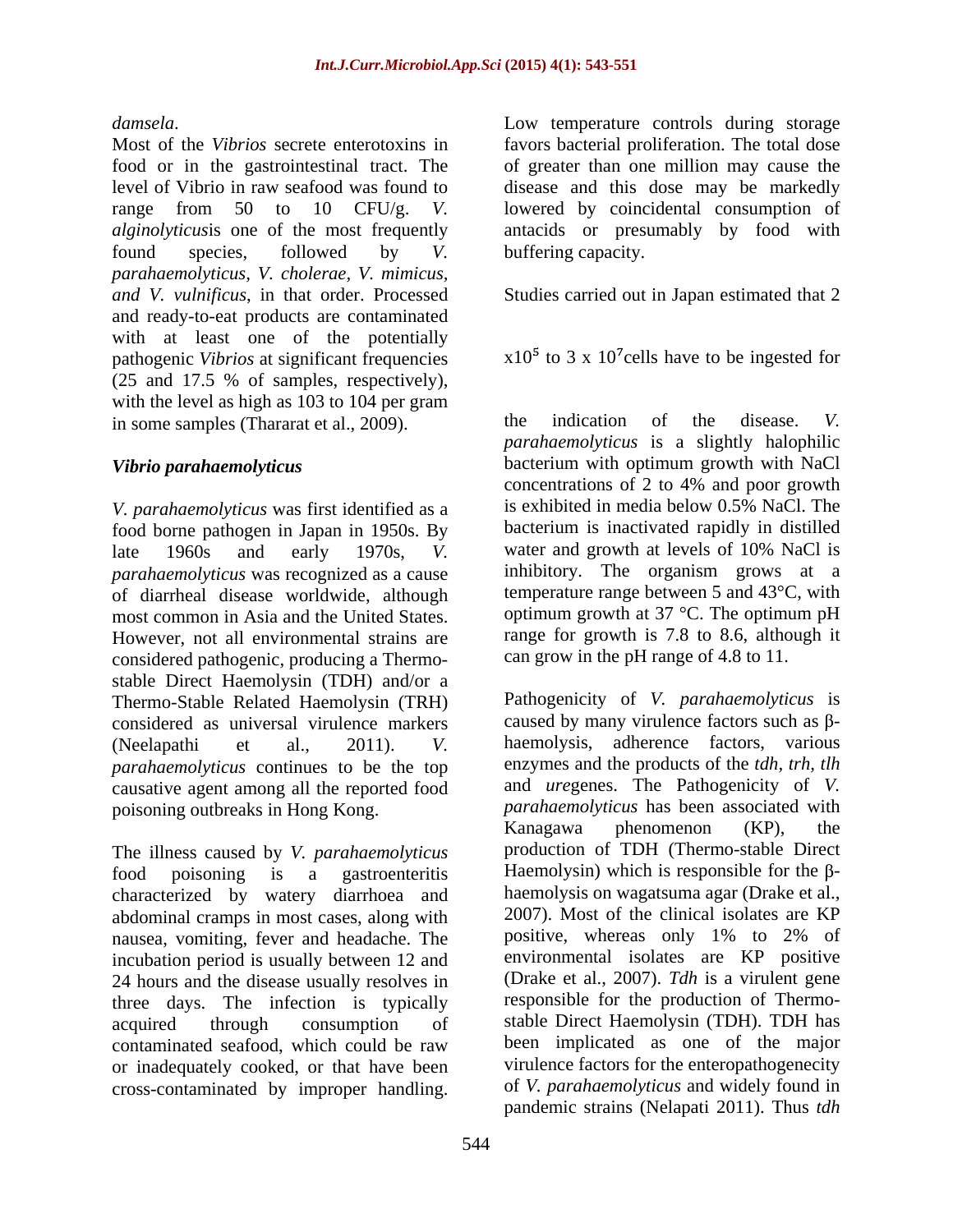food or in the gastrointestinal tract. The of greater than one million may cause the level of Vibrio in raw seafood was found to disease and this dose may be markedly range from 50 to 10 CFU/g. *V.*  lowered by coincidental consumption of *alginolyticus*is one of the most frequently antacids or presumably by food with found species, followed by *V. parahaemolyticus, V. cholerae, V. mimicus, and V. vulnificus*, in that order. Processed Studies carried out in Japan estimated that 2 and ready-to-eat products are contaminated with at least one of the potentially pathogenic *Vibrios* at significant frequencies (25 and 17.5 % of samples, respectively), with the level as high as 103 to 104 per gram<br>in some samples (Thararat et al. 2009) the indication of the disease. V. in some samples (Thararat et al., 2009).

food borne pathogen in Japan in 1950s. By late 1960s and early 1970s, *V*. water and growth at levels of 10% NaCl is *parahaemolyticus* was recognized as a cause of diarrheal disease worldwide, although most common in Asia and the United States. However, not all environmental strains are considered pathogenic, producing a Thermo stable Direct Haemolysin (TDH) and/or a Thermo-Stable Related Haemolysin (TRH) considered as universal virulence markers *parahaemolyticus* continues to be the top causative agent among all the reported food

The illness caused by *V. parahaemolyticus* characterized by watery diarrhoea and abdominal cramps in most cases, along with a 2007). Most of the clinical isolates are KP<br>nausea vomiting fever and headache. The positive, whereas only 1% to 2% of nausea, vomiting, fever and headache. The incubation period is usually between 12 and 24 hours and the disease usually resolves in three days. The infection is typically contaminated seafood, which could be raw or inadequately cooked, or that have been

*damsela*. Low temperature controls during storage<br>Most of the *Vibrios* secrete enterotoxins in favors bacterial proliferation. The total dose favors bacterial proliferation. The total dose buffering capacity.

 $x10<sup>5</sup>$  to 3 x 10<sup>7</sup> cells have to be ingested for

*Vibrio parahaemolyticus*  bacterium with optimum growth with NaCl *V. parahaemolyticus* was first identified as a the indication of the disease. *V. parahaemolyticus* is a slightly halophilic concentrations of 2 to 4% and poor growth is exhibited in media below 0.5% NaCl. The bacterium is inactivated rapidly in distilled water and growth at levels of 10% NaCl is inhibitory. The organism grows at a temperature range between 5 and 43°C, with optimum growth at 37 °C. The optimum pH range for growth is 7.8 to 8.6, although it can grow in the pH range of 4.8 to 11.

(Neelapathi et al., 2011). *V.*  haemolysis, adherence factors, various poisoning outbreaks in Hong Kong. *parahaemolyticus* has been associated with food poisoning is a gastroenteritis Haemolysin) which is responsible for the  $\beta$ acquired through consumption of stable Direct Haemolysin (TDH). TDH has *downser*. The Vibrius sector is a significant control during storage of the Higherian control during the positival in the positival interaction of the method of the positival interaction of the signification of the metho Pathogenicity of *V. parahaemolyticus* is caused by many virulence factors such as  $\beta$ enzymes and the products of the *tdh, trh, tlh* and *ure*genes. The Pathogenicity of *V.*  Kanagawa phenomenon (KP), the production of TDH (Thermo-stable Direct haemolysis on wagatsuma agar (Drake et al., 2007). Most of the clinical isolates are KP positive, whereas only 1% to 2% of environmental isolates are KP positive (Drake et al., 2007). *Tdh* is a virulent gene responsible for the production of Thermo been implicated as one of the major virulence factors for the enteropathogenecity of *V. parahaemolyticus* and widely found in pandemic strains (Nelapati 2011). Thus *tdh*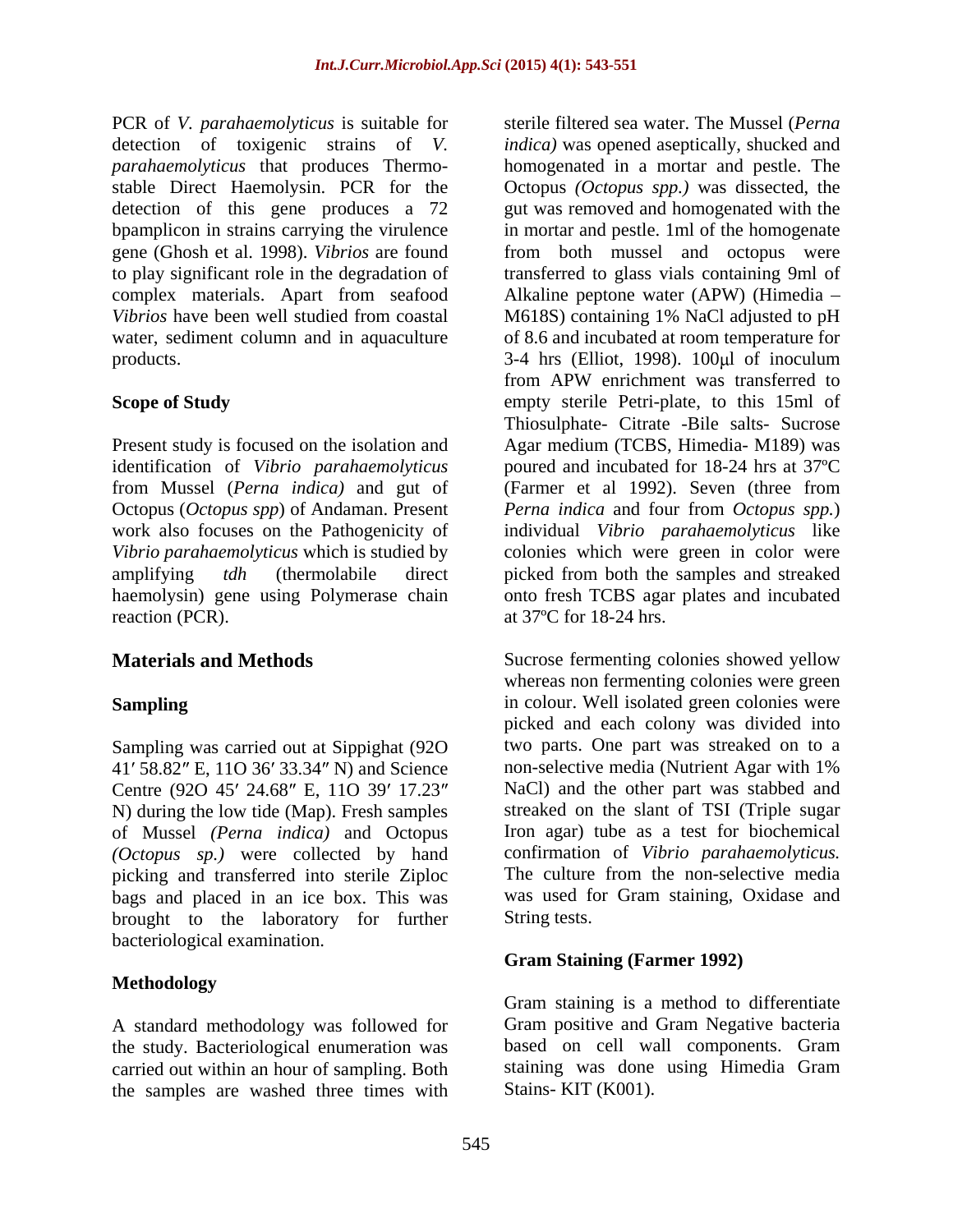PCR of *V. parahaemolyticus* is suitable for detection of toxigenic strains of *V. indica)* was opened aseptically, shucked and *parahaemolyticus* that produces Thermo- homogenated in a mortar and pestle. The stable Direct Haemolysin. PCR for the Octopus *(Octopus spp.)* was dissected, the detection of this gene produces a 72 gut was removed and homogenated with the bpamplicon in strains carrying the virulence gene (Ghosh et al. 1998). *Vibrios* are found from both mussel and octopus were to play significant role in the degradation of transferred to glass vials containing 9ml of complex materials. Apart from seafood Alkaline peptone water (APW) (Himedia *Vibrios* have been well studied from coastal M618S) containing 1% NaCl adjusted to pH water, sediment column and in aquaculture of 8.6 and incubated at room temperature for products. The same state of the S-4 hrs (Elliot, 1998). 100µl of inoculum

Present study is focused on the isolation and Agar medium (TCBS, Himedia- M189) was identification of *Vibrio parahaemolyticus* poured and incubated for 18-24 hrs at 37ºC from Mussel (*Perna indica)* and gut of Octopus (*Octopus spp*) of Andaman. Present work also focuses on the Pathogenicity of individual *Vibrio parahaemolyticus* like *Vibrio parahaemolyticus* which is studied by colonies which were green in color were amplifying *tdh* (thermolabile direct picked from both the samples and streaked haemolysin) gene using Polymerase chain onto fresh TCBS agar plates and incubated reaction (PCR).  $at 37^{\circ}$ C for 18-24 hrs.

Sampling was carried out at Sippighat (920 two parts. One part was streaked on to a 41' 58.82" E. 11O 36' 33.34" N) and Science non-selective media (Nutrient Agar with 1% 41' 58.82" E, 11O 36' 33.34" N) and Science Centre (920 45' 24.68" E, 110 39' 17.23" of Mussel *(Perna indica)* and Octopus *(Octopus sp.)* were collected by hand picking and transferred into sterile Ziploc bags and placed in an ice box. This was brought to the laboratory for further String tests. bacteriological examination.

### **Methodology**

A standard methodology was followed for Gram positive and Gram Negative bacteria<br>the study. Bacteriological enumeration was based on cell wall components. Gram the study. Bacteriological enumeration was carried out within an hour of sampling. Both the samples are washed three times with

**Scope of Study** empty sterile Petri-plate, to this 15ml of sterile filtered sea water. The Mussel (*Perna*  in mortar and pestle. 1ml of the homogenate from APW enrichment was transferred to Thiosulphate- Citrate -Bile salts- Sucrose (Farmer et al 1992). Seven (three from *Perna indica* and four from *Octopus spp.*)

**Materials and Methods** Sucrose fermenting colonies showed yellow **Sampling Sampling Example 10 Sampling EXECUTE:**  $\frac{1}{2}$  **CONFINE 1 CONFINE 10 CONFINE 10 CONFINE 10 CONFINE 10 CONFINE 10 CONFINE 10 CONFINE 10 CONFINE 10 CONFINE 10 CONFINE 10 CONFINE 10** N) during the low tide (Map). Fresh samples streaked on the slant of TSI (Triple sugar whereas non fermenting colonies were green picked and each colony was divided into two parts. One part was streaked on to a non-selective media (Nutrient Agar with 1% NaCl) and the other part was stabbed and Iron agar) tube as a test for biochemical confirmation of *Vibrio parahaemolyticus.* The culture from the non-selective media was used for Gram staining, Oxidase and String tests.

### **Gram Staining (Farmer 1992)**

Gram staining is a method to differentiate Gram positive and Gram Negative bacteria based on cell wall components. Gram staining was done using Himedia Gram Stains- KIT (K001).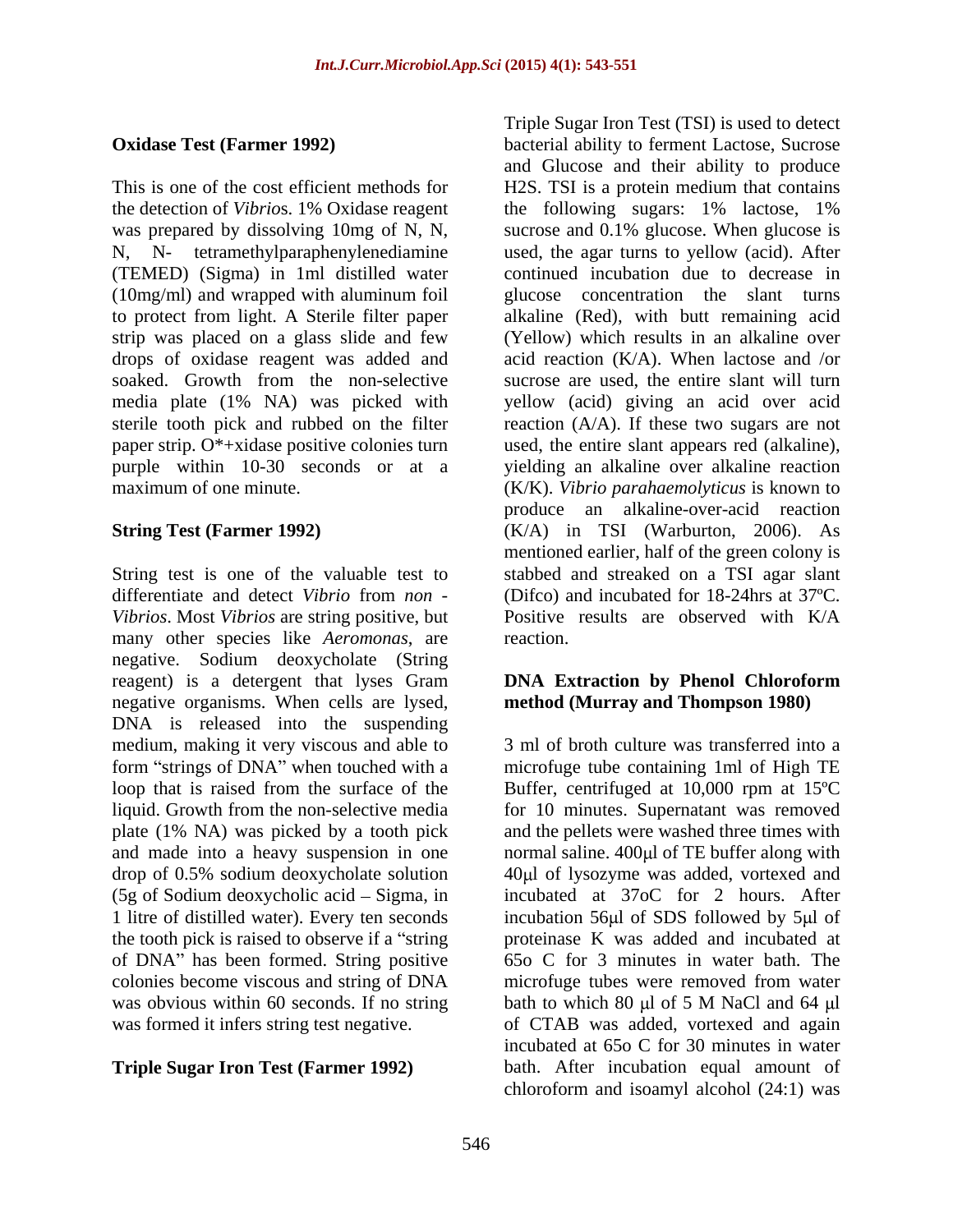the detection of *Vibrio*s. 1% Oxidase reagent (TEMED) (Sigma) in 1ml distilled water (10mg/ml) and wrapped with aluminum foil strip was placed on a glass slide and few

*Vibrios*. Most *Vibrios* are string positive, but many other species like *Aeromonas*, are negative. Sodium deoxycholate (String reagent) is a detergent that lyses Gram **DNA Extraction by Phenol Chloroform** negative organisms. When cells are lysed, DNA is released into the suspending medium, making it very viscous and able to 3 ml of broth culture was transferred into a form "strings of DNA" when touched with a loop that is raised from the surface of the Buffer, centrifuged at 10,000 rpm at 15ºC liquid. Growth from the non-selective media plate (1% NA) was picked by a tooth pick and made into a heavy suspension in one mormal saline. 400 µ of TE buffer along with drop of 0.5% sodium deoxycholate solution 40µl of lysozyme was added, vortexed and  $(5g \text{ of } S$ odium deoxycholic acid – Sigma, in incubated at 37oC for 2 hours. After 1 litre of distilled water). Every ten seconds incubation 56 µ of SDS followed by 5 µ of the tooth pick is raised to observe if a "string" of DNA" has been formed. String positive colonies become viscous and string of DNA microfuge tubes were removed from water was obvious within 60 seconds. If no string bath to which 80 µl of 5 M NaCl and 64 µl

**Oxidase Test (Farmer 1992)** bacterial ability to ferment Lactose, Sucrose This is one of the cost efficient methods for H2S. TSI is a protein medium that contains was prepared by dissolving 10mg of N, N, sucrose and 0.1% glucose. When glucose is N, N- tetramethylparaphenylenediamine used, the agar turns to yellow (acid). After to protect from light. A Sterile filter paper alkaline (Red), with butt remaining acid drops of oxidase reagent was added and acid reaction (K/A). When lactose and /or soaked. Growth from the non-selective sucrose are used, the entire slant will turn media plate (1% NA) was picked with yellow (acid) giving an acid over acid sterile tooth pick and rubbed on the filter reaction (A/A). If these two sugars are not paper strip. O\*+xidase positive colonies turn used, the entire slant appears red (alkaline), purple within 10-30 seconds or at a yielding an alkaline over alkaline reaction maximum of one minute. (K/K). *Vibrio parahaemolyticus* is known to **String Test (Farmer 1992)** (K/A) in TSI (Warburton, 2006). As String test is one of the valuable test to stabbed and streaked on a TSI agar slant differentiate and detect *Vibrio* from *non -* (Difco) and incubated for 18-24hrs at 37ºC. Triple Sugar Iron Test (TSI) is used to detect and Glucose and their ability to produce the following sugars: 1% lactose, 1% continued incubation due to decrease in glucose concentration the slant turns (Yellow) which results in an alkaline over produce an alkaline-over-acid reaction mentioned earlier, half of the green colony is Positive results are observed with K/A reaction.

### **DNA Extraction by Phenol Chloroform method (Murray and Thompson 1980)**

was formed it infers string test negative. of CTAB was added, vortexed and again **Triple Sugar Iron Test (Farmer 1992)**  bath. After incubation equal amount of microfuge tube containing 1ml of High TE for 10 minutes. Supernatant was removed and the pellets were washed three times with proteinase K was added and incubated at 65o C for 3 minutes in water bath. The bath to which 80  $\mu$ l of 5 M NaCl and 64  $\mu$ l incubated at 65o C for 30 minutes in water chloroform and isoamyl alcohol (24:1) was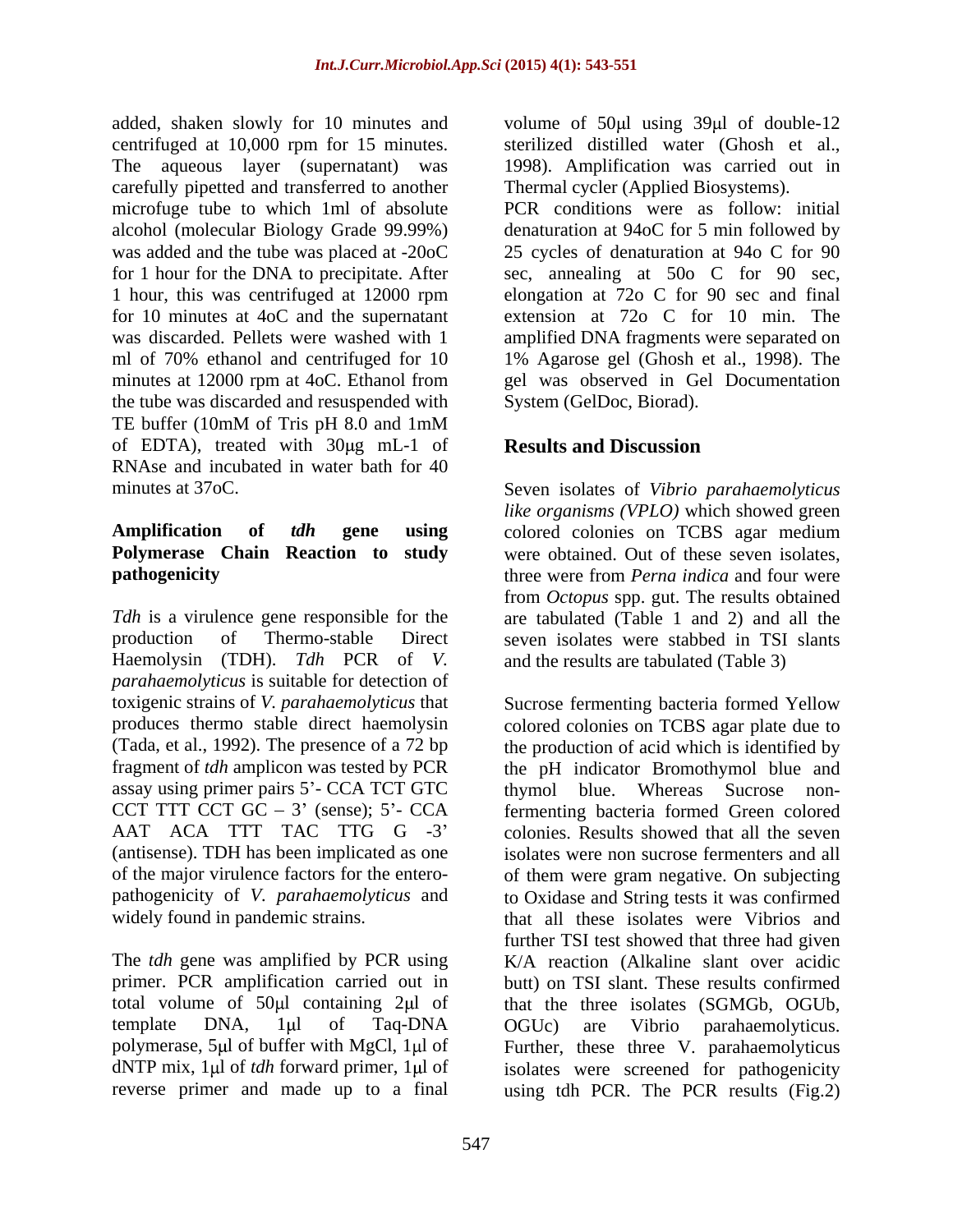added, shaken slowly for 10 minutes and volume of 50µl using 39µl of double-12 centrifuged at 10,000 rpm for 15 minutes. The aqueous layer (supernatant) was carefully pipetted and transferred to another the tube was discarded and resuspended with TE buffer (10mM of Tris pH 8.0 and 1mM of EDTA), treated with  $30\mu$ g mL-1 of RNAse and incubated in water bath for 40

# **Amplification of** *tdh* **gene using**

*Tdh* is a virulence gene responsible for the are tabulated (Table 1 and 2) and all the production of Thermo-stable Direct seven isolates were stabbed in TSI slants Haemolysin (TDH). *Tdh* PCR of *V. parahaemolyticus* is suitable for detection of toxigenic strains of *V. parahaemolyticus* that assay using primer pairs 5'- CCA TCT GTC thymol blue. Whereas Sucrose non-(antisense). TDH has been implicated as one

total volume of  $50 \mu l$  containing  $2 \mu l$  of

sterilized distilled water (Ghosh et al., 1998). Amplification was carried out in Thermal cycler (Applied Biosystems).

microfuge tube to which 1ml of absolute PCR conditions were as follow: initial alcohol (molecular Biology Grade 99.99%) denaturation at 94oC for 5 min followed by was added and the tube was placed at -20oC 25 cycles of denaturation at 94o C for 90 for 1 hour for the DNA to precipitate. After sec, annealing at 50o C for 90 sec, 1 hour, this was centrifuged at 12000 rpm elongation at 72o C for 90 sec and final for 10 minutes at 4oC and the supernatant extension at 72o C for 10 min. The was discarded. Pellets were washed with 1 amplified DNA fragments were separated on ml of 70% ethanol and centrifuged for 10 1% Agarose gel (Ghosh et al., 1998). The minutes at 12000 rpm at 4oC. Ethanol from gel was observed in Gel Documentation gel was observed in Gel Documentation System (GelDoc, Biorad).

## **Results and Discussion**

minutes at 37oC. Seven isolates of *Vibrio parahaemolyticus* **Polymerase Chain Reaction to study** were obtained. Out of these seven isolates, **pathogenicity example 1 three** were from *Perna indica* and four were *like organisms (VPLO)* which showed green colored colonies on TCBS agar medium from *Octopus* spp. gut. The results obtained and the results are tabulated (Table 3)

produces thermo stable direct haemolysin colored colonies on TCBS agar plate due to (Tada, et al., 1992). The presence of a 72 bp the production of acid which is identified by fragment of *tdh* amplicon was tested by PCR the pH indicator Bromothymol blue and CCT TTT CCT  $GC - 3'$  (sense);  $5'$ - CCA fermenting bacteria formed Green colored AAT ACA TTT TAC TTG G -3' colonies. Results showed that all the seven of the major virulence factors for the entero- of them were gram negative. On subjecting pathogenicity of *V. parahaemolyticus* and to Oxidase and String tests it was confirmed widely found in pandemic strains. That all these isolates were Vibrios and The *tdh* gene was amplified by PCR using K/A reaction (Alkaline slant over acidic primer. PCR amplification carried out in butt) on TSI slant. These results confirmed template DNA, 1µl of Taq-DNA OGUc) are Vibrio parahaemolyticus. polymerase, 5µl of buffer with MgCl, 1µl of Further, these three V. parahaemolyticus dNTP mix, 1µl of *tdh* forward primer, 1µl of isolates were screened for pathogenicity reverse primer and made up to a final using tdh PCR. The PCR results (Fig.2)Sucrose fermenting bacteria formed Yellow thymol blue. Whereas Sucrose nonisolates were non sucrose fermenters and all further TSI test showed that three had given that the three isolates (SGMGb, OGUb, OGUc) are Vibrio parahaemolyticus.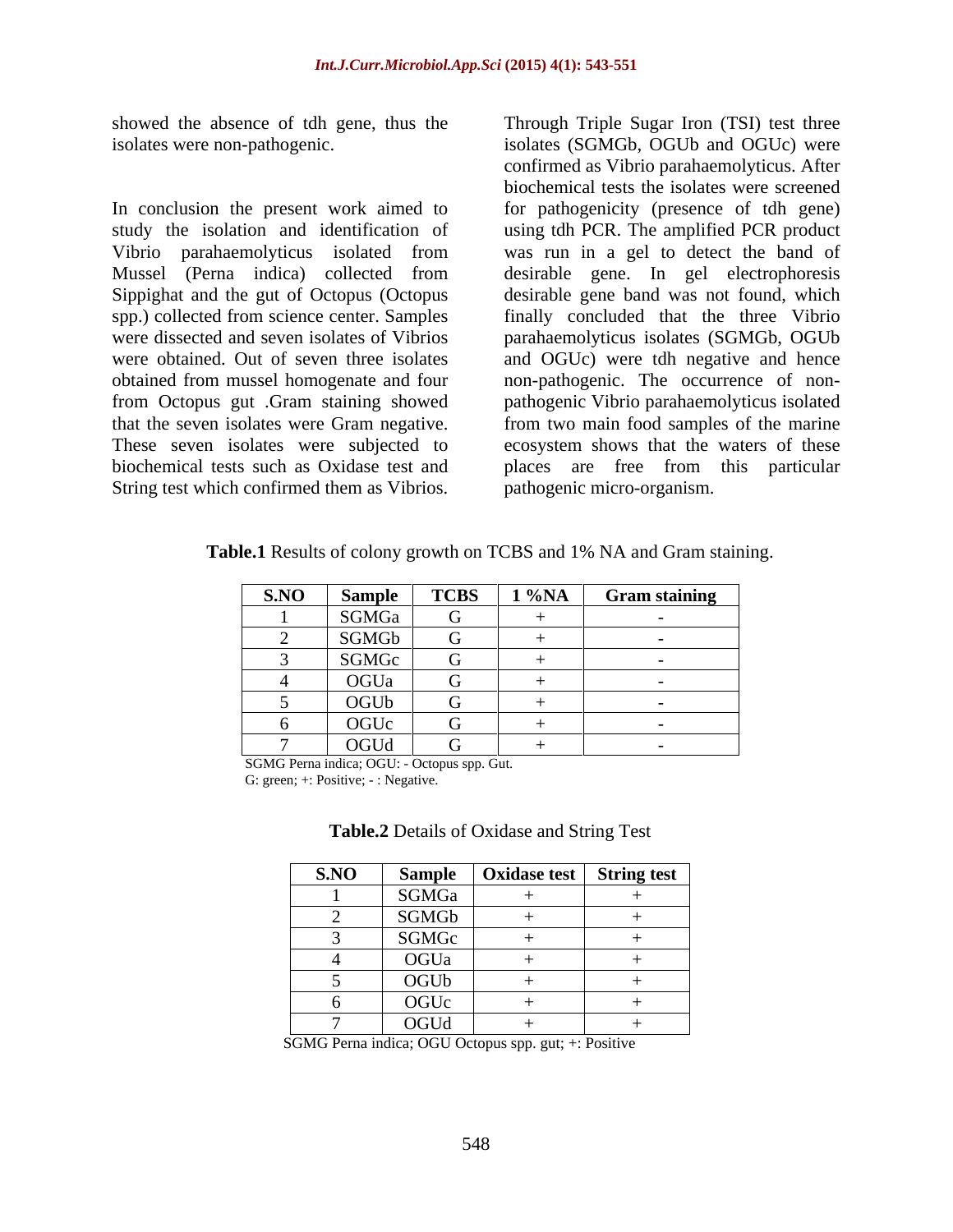showed the absence of tdh gene, thus the

In conclusion the present work aimed to for pathogenicity (presence of tdh gene) study the isolation and identification of using tdh PCR. The amplified PCR product Vibrio parahaemolyticus isolated from was run in a gel to detect the band of Mussel (Perna indica) collected from desirable gene. In gel electrophoresis Sippighat and the gut of Octopus (Octopus desirable gene band was not found, which spp.) collected from science center. Samples finally concluded that the three Vibrio were dissected and seven isolates of Vibrios parahaemolyticus isolates (SGMGb, OGUb were obtained. Out of seven three isolates and OGUc) were tdh negative and hence obtained from mussel homogenate and four non-pathogenic. The occurrence of non from Octopus gut .Gram staining showed pathogenic Vibrio parahaemolyticus isolated that the seven isolates were Gram negative. from two main food samples of the marine These seven isolates were subjected to ecosystem shows that the waters of these biochemical tests such as Oxidase test and places are free from this particular String test which confirmed them as Vibrios.

isolates were non-pathogenic. isolates (SGMGb, OGUb and OGUc) were Through Triple Sugar Iron (TSI) test three confirmed as Vibrio parahaemolyticus. After biochemical tests the isolates were screened pathogenic micro-organism.

**Table.1** Results of colony growth on TCBS and 1% NA and Gram staining.

| S.NO | Sample                                                             | <b>TCBS</b> | 1 %NA | <b>Gram staining</b> |
|------|--------------------------------------------------------------------|-------------|-------|----------------------|
|      | SGMGa                                                              |             |       |                      |
|      | SGMGb                                                              |             |       |                      |
|      | SGMGc<br><u> 1980 - Johann Barnett, fransk politiker (d. 1980)</u> |             |       |                      |
|      | OGUa                                                               |             |       |                      |
|      | OGUb                                                               |             |       |                      |
|      | OGUc                                                               | - 1         |       |                      |
|      | OGUd                                                               | — с т       |       |                      |

SGMG Perna indica; OGU: - Octopus spp. Gut.

G: green; +: Positive; - : Negative.

| Table.2<br>$\mathbf{r}$<br>2 Details of Oxidase and $\sim$<br>String<br>1 est |  |
|-------------------------------------------------------------------------------|--|
|-------------------------------------------------------------------------------|--|

| S.NO                                                        | Sample | Oxidase test   String test |  |
|-------------------------------------------------------------|--------|----------------------------|--|
|                                                             | SGMGa  |                            |  |
|                                                             | SGMGb  |                            |  |
|                                                             | SGMGc  |                            |  |
|                                                             | OGUa   |                            |  |
|                                                             | OGUb   |                            |  |
| <u> 1980 - Johann Stoff, amerikansk politiker (d. 1980)</u> | OGUc   |                            |  |
|                                                             | OGUd   |                            |  |

SGMG Perna indica; OGU Octopus spp. gut; +: Positive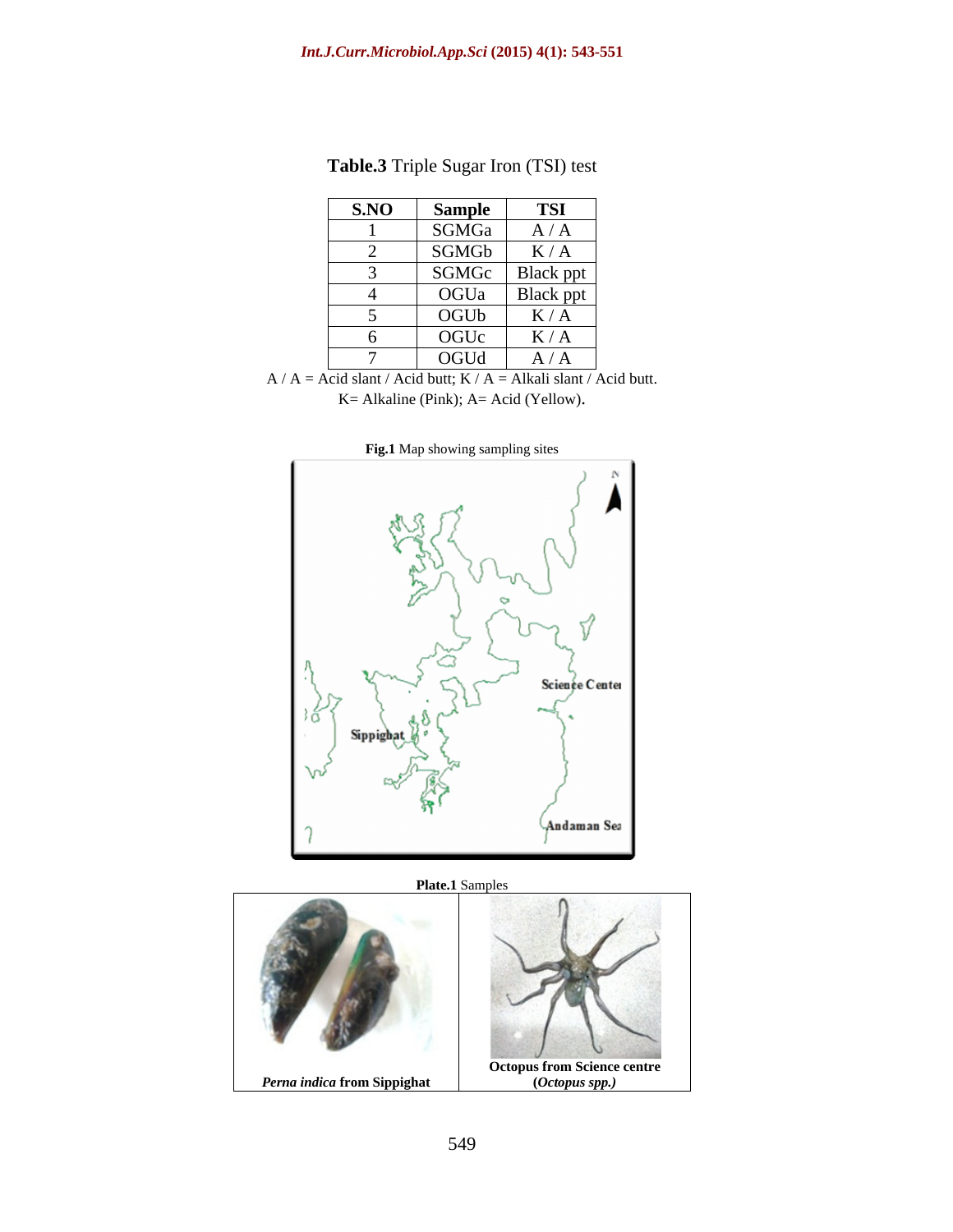| S.NO | Sample | TSI                           |
|------|--------|-------------------------------|
|      | SGMGa  | A/A                           |
|      | SGMGb  | K/A                           |
|      | SGMGc  | $Blace$ ppt<br>$\overline{A}$ |
|      | OGUa   | Black ppt<br>$\overline{a}$   |
|      | OGUb   | K/A                           |
|      | OGUc   | K/A                           |
|      | OGUd   | A/A                           |

**Table.3** Triple Sugar Iron (TSI) test

 $A / A = Acid slant / Acid butt; K / A = Alkali slant / Acid butt.$ K= Alkaline (Pink); A= Acid (Yellow).



**Fig.1** Map showing sampling sites

**Plate.1** Samples

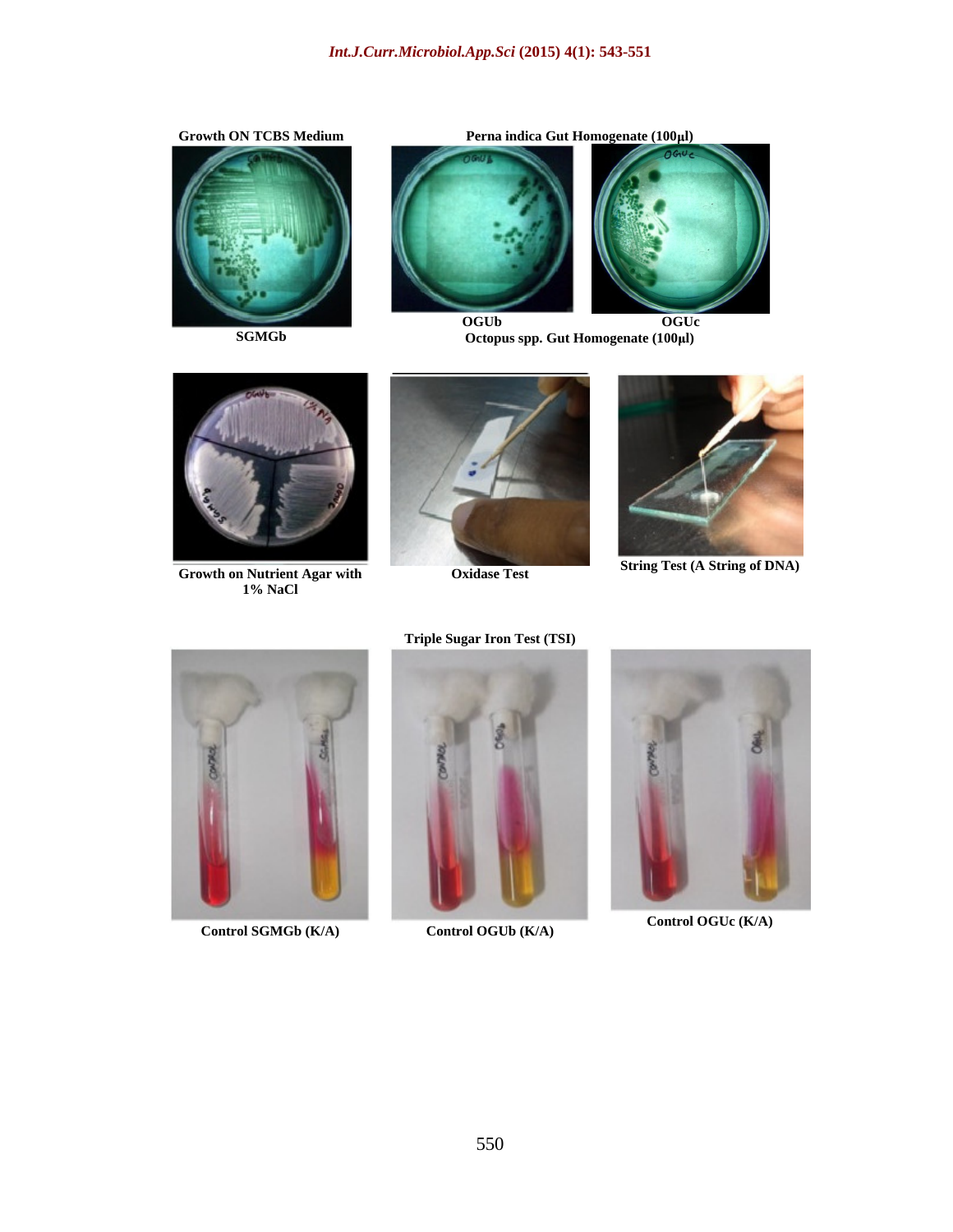







**SGMGb Octopus spp. Gut Homogenate (100 l) OGUb OGUc**



**Growth on Nutrient Agar with Calcular Contract Oxidase Test Calcular String Test** (A String of DNA) **CON 1% NaCl**





**Oxidase Test String Test (A String of DNA)** 



**Control SGMGb (K/A) Control OGUb (K/A) Control OGUC (K/A) Control OGU**c (K/A)

**Triple Sugar Iron Test (TSI)**